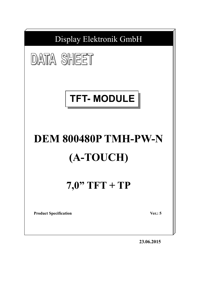

**23.06.2015**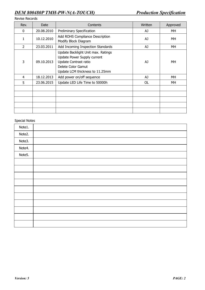### Revise Records

| Rev.           | Date       | Contents                                                                                                                                            | Written | Approved |
|----------------|------------|-----------------------------------------------------------------------------------------------------------------------------------------------------|---------|----------|
| 0              | 20.08.2010 | <b>Preliminary Specification</b>                                                                                                                    | AJ      | MH       |
| 1              | 10.12.2010 | Add ROHS Compliance Description<br>Modify Block Diagram                                                                                             | AJ      | MH       |
| $\overline{2}$ | 23.03.2011 | Add Incoming Inspection Standards                                                                                                                   | AJ      | МH       |
| 3              | 09.10.2013 | Update Backlight Unit max. Ratings<br>Update Power Supply current<br>Update Contrast ratio<br>Delete Color Gamut<br>Update LCM thickness to 11.25mm | AJ      | МH       |
| 4              | 18.12.2013 | Add power on/off sequence                                                                                                                           | AJ      | МH       |
| 5              | 23.06.2015 | Update LED Life Time to 50000h                                                                                                                      | 0L      | МH       |
|                |            |                                                                                                                                                     |         |          |
|                |            |                                                                                                                                                     |         |          |
|                |            |                                                                                                                                                     |         |          |
|                |            |                                                                                                                                                     |         |          |

### Special Notes

| Note1. |  |
|--------|--|
| Note2. |  |
| Note3. |  |
| Note4. |  |
| Note5. |  |
|        |  |
|        |  |
|        |  |
|        |  |
|        |  |
|        |  |
|        |  |
|        |  |
|        |  |
|        |  |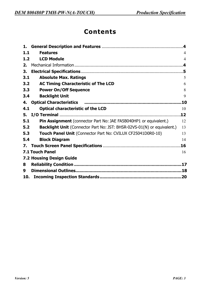# **Contents**

| 1.    |                                                                                |                |
|-------|--------------------------------------------------------------------------------|----------------|
| 1.1   | <b>Features</b>                                                                | 4              |
| $1.2$ | <b>LCD Module</b>                                                              | $\overline{4}$ |
| 2.    |                                                                                |                |
| 3.    |                                                                                |                |
| 3.1   | <b>Absolute Max. Ratings</b>                                                   | 5              |
| 3.2   | <b>AC Timing Characteristic of The LCD</b>                                     | 6              |
| 3.3   | <b>Power On/Off Sequence</b>                                                   | 8              |
| 3.4   | <b>Backlight Unit</b>                                                          | 9              |
| 4.    | <b>Optical Characteristics</b>                                                 | .10            |
| 4.1   | <b>Optical characteristic of the LCD</b>                                       | 10             |
| 5.    |                                                                                |                |
| 5.1   | Pin Assignment (connector Part No: JAE FA5B040HP1 or equivalent.)              | 12             |
| 5.2   | <b>Backlight Unit</b> (Connector Part No: JST: BHSR-02VS-01(N) or equivalent.) | 13             |
| 5.3   | Touch Panel Unit (Connector Part No: CVILUX CF25041D0R0-10)                    | 13             |
| 5.4   | <b>Block Diagram</b>                                                           | 14             |
| 7.    |                                                                                |                |
|       | <b>7.1 Touch Panel</b>                                                         | 16             |
|       | <b>7.2 Housing Design Guide</b>                                                |                |
| 8     |                                                                                |                |
| 9     |                                                                                |                |
|       |                                                                                |                |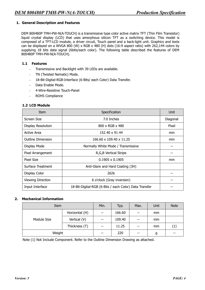### **1. General Description and Features**

DEM 800480P TMH-PW-N(A-TOUCH) is a transmissive type color active matrix TFT (Thin Film Transistor) liquid crystal display (LCD) that uses amorphous silicon TFT as a switching device. This model is composed of a TFT-LCD module, a driver circuit, Touch panel and a back-light unit. Graphics and texts can be displayed on a WVGA 800 (W) x RGB x 480 (H) dots (16:9 aspect ratio) with 262,144 colors by supplying 18 bits data signal (6bits/each color). The following table described the features of DEM 800480P TMH-PW-N(A-TOUCH).

### **1.1 Features**

- Transmissive and Backlight with 39 LEDs are available.
- TN (Twisted Nematic) Mode.
- 18-Bit-Digital-RGB-Interface (6-Bits/ each Color) Data Transfer.
- Data Enable Mode.
- 4-Wire-Resistive Touch-Panel
- ROHS Compliance

### **1.2 LCD Module**

| Item                      | Specification                                          | Unit     |
|---------------------------|--------------------------------------------------------|----------|
| Screen Size               | 7.0 Inches                                             | Diagonal |
| <b>Display Resolution</b> | $800 \times RGB \times 480$                            | Pixel    |
| Active Area               | 152.40 x 91.44                                         | mm       |
| <b>Outline Dimension</b>  | 166.60 x 109.40 x 11.25                                | mm       |
| Display Mode              | Normally White Mode / Transmissive                     |          |
| Pixel Arrangement         | R, G, B Vertical Stripe                                |          |
| <b>Pixel Size</b>         | $0.1905 \times 0.1905$                                 | mm       |
| <b>Surface Treatment</b>  | Anti-Glare and Hard Coating (3H)                       |          |
| Display Color             | 262k                                                   |          |
| <b>Viewing Direction</b>  | 6 o'clock (Gray inversion)                             | --       |
| Input Interface           | 18-Bit-Digital-RGB (6-Bits / each Color) Data Transfer |          |

#### **2. Mechanical Information**

| Item        |                | Min.  | Typ.   | Max.  | Unit | <b>Note</b> |
|-------------|----------------|-------|--------|-------|------|-------------|
|             | Horizontal (H) | $- -$ | 166.60 | $- -$ | mm   |             |
| Module Size | Vertical (V)   | $- -$ | 109.40 | $- -$ | mm   |             |
|             | Thickness (T)  | $- -$ | 11.25  | $- -$ | mm   | (1)         |
| Weight      |                | $- -$ | 220    | $- -$ | g    | $- -$       |

Note (1) Not Include Component. Refer to the Outline Dimension Drawing as attached.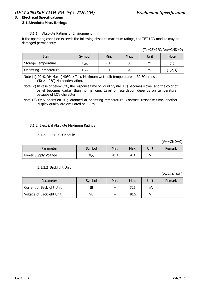### **3. Electrical Specifications**

### **3.1 Absolute Max. Ratings**

### 3.1.1 Absolute Ratings of Environment

If the operating condition exceeds the following absolute maximum ratings, the TFT LCD module may be damaged permanently.

| Item                         | Symbol                      | Min. | Max. | Unit    | <b>Note</b> |
|------------------------------|-----------------------------|------|------|---------|-------------|
| Storage Temperature          | $\mathsf{T}_{\mathsf{STG}}$ | -30  | 80   | $\circ$ |             |
| <b>Operating Temperature</b> | $\mathsf{T}_{\mathsf{OPR}}$ | -20  | 70   | $\circ$ | ر در ۱٫۷    |

Note (1) 90 % RH Max. ( $40^{\circ}$ C  $\geq$  Ta ). Maximum wet-bulb temperature at 39 °C or less. (Ta > 40°C) No condensation.

Note (2) In case of below 0°C, the response time of liquid crystal (LC) becomes slower and the color of panel becomes darker than normal one. Level of retardation depends on temperature, because of LC's character

Note (3) Only operation is guarantied at operating temperature. Contrast, response time, another display quality are evaluated at +25°C.

#### 3.1.2 Electrical Absolute Maximum Ratings

#### 3.1.2.1 TFT-LCD Module

 $(V<sub>SS</sub>=GND=0)$ 

| Parameter            | Svmbol | Min. | Max. | Unit | Remark |
|----------------------|--------|------|------|------|--------|
| Power Supply Voltage | Vcc    | -0.ప | د.4  |      |        |

#### 3.1.2.2 Backlight Unit

 $(V_{SS}=GND=0)$ 

| Parameter                 | Symbol | Min.  | Max. | Jnit | Remark |
|---------------------------|--------|-------|------|------|--------|
| Current of Backlight Unit | IΒ     | $-$   | 325  | mA   |        |
| Voltage of Backlight Unit | VB     | $- -$ | 10.5 |      |        |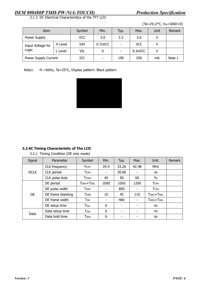3.1.3 DC Electrical Characteristics of the TFT LCD

 $(Ta=25\pm2\degree C, V_{SS}=GND=0)$ 

| Item                       |         | Symbol     | Min.                     | Typ. | Max.       | Unit | Remark |
|----------------------------|---------|------------|--------------------------|------|------------|------|--------|
| Power Supply               |         | <b>VCC</b> | 3.0                      | 3.3  | 3.6        |      |        |
| Input Voltage for<br>Logic | H Level | VIH        | 0.7xVCC                  |      | <b>VCC</b> |      |        |
|                            | . Level | VIL        |                          |      | 0.3xVCC    |      |        |
| Power Supply Current       |         | ICC        | $\overline{\phantom{0}}$ | 190  | 250        | mA   | Note 1 |

Note1: fv =60Hz, Ta=25°C, Display pattern: Black pattern



### **3.2 AC Timing Characteristic of The LCD**

3.2.1 Timing Condition (DE only mode)

| Signal      | Parameter            | Symbol                  | Min. | Typ.  | Max.                     | Unit.       | <b>Remark</b> |
|-------------|----------------------|-------------------------|------|-------|--------------------------|-------------|---------------|
|             | <b>CLK</b> frequency | <b>FCPH</b>             | 29.4 | 33.26 | 42.48                    | <b>MHz</b>  |               |
| <b>DCLK</b> | CLK period           | Тсрн                    | -    | 30.06 |                          | ns          |               |
|             | CLK pulse duty       | <b>T</b> CWH            | 40   | 50    | 60                       | $\%$        |               |
|             | DE period            | TDEH+TDEL               | 1000 | 1056  | 1200                     | <b>TCPH</b> |               |
|             | DE pulse width       | Трен                    |      | 800   |                          | Тсрн        |               |
| <b>DE</b>   | DE frame blanking    | <b>T</b> <sub>DEB</sub> | 10   | 45    | 110                      | TDEH+TDEL   |               |
|             | DE frame width       | <b>T</b> <sub>DE</sub>  |      | 480   | $\overline{\phantom{0}}$ | TDEH+TDEL   |               |
|             | DE setup time        | $T$ esu                 | 6    | -     | -                        | ns          |               |
| Data        | Data setup time      | Tdsu                    | 6    | -     | $\overline{\phantom{0}}$ | ns          |               |
|             | Data hold time       | Tdhd                    | 6    |       |                          | ns          |               |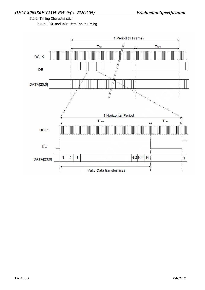3.2.2 Timing Characteristic 3.2.2.1 DE and RGB Data Input Timing

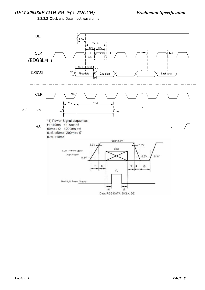3.2.2.2 Clock and Data input waveforms

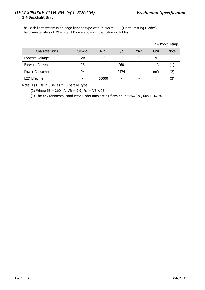The Back-light system is an edge-lighting type with 39 white LED (Light Emitting Diodes). The characteristics of 39 white LEDs are shown in the following tables.

|  | (Ta= Room Temp) |
|--|-----------------|
|  |                 |

| <b>Characteristics</b> | Symbol   | Min.  | Typ. | Max. | Unit | <b>Note</b>       |
|------------------------|----------|-------|------|------|------|-------------------|
| Forward Voltage        | VB       | 9.3   | 9.9  | 10.5 |      |                   |
| <b>Forward Current</b> | IΒ       | ٠     | 260  | -    | mA   | $\left( 1\right)$ |
| Power Consumption      | $P_{BL}$ | -     | 2574 |      | mW   | $\left( 2\right)$ |
| <b>LED Lifetime</b>    |          | 50000 |      |      | hr   | 3)                |

Note (1) LEDs in 3 series x 13 parallel type.

(2) Where IB = 260mA,  $VB = 9.9$ ,  $P_{BL} = VB \times IB$ 

(3) The environmental conducted under ambient air flow, at Ta=25±2°C, 60%RH±5%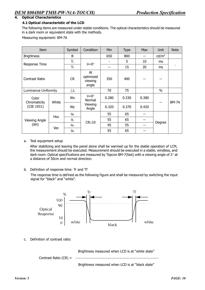### **4. Optical Characteristics**

### **4.1 Optical characteristic of the LCD**

The following items are measured under stable conditions. The optical characteristics should be measured in a dark room or equivalent state with the methods.

Measuring equipment: BM-7A

| Item                         |       | Symbol                | Condition                           | Min   | Type  | Max   | Unit              | <b>Note</b>    |
|------------------------------|-------|-----------------------|-------------------------------------|-------|-------|-------|-------------------|----------------|
| <b>Brightness</b>            |       | B                     |                                     | 650   | 800   |       | cd/m <sup>2</sup> |                |
|                              |       | T <sub>r</sub>        |                                     |       | 5     | 10    | ms                |                |
| Response Time                |       | $T_{\rm f}$           | $\theta = 0^{\circ}$                | --    | 15    | 20    | ms                | $\blacksquare$ |
| Contrast Ratio               |       | <b>CR</b>             | At<br>optimized<br>viewing<br>angle | 350   | 400   | --    | --                |                |
| <b>Luminance Uniformity</b>  |       | ΔL                    |                                     | 70    | 75    |       | $\%$              |                |
| Color<br>Chromaticity        | White | Wx                    | $\theta = 0^{\circ}$<br>Normal      | 0.280 | 0.330 | 0.380 | --                | BM-7A          |
| (CIE 1931)                   |       | Wy                    | Viewing<br>Angle                    | 0.320 | 0.370 | 0.420 |                   |                |
|                              |       | $\theta_{\mathsf{R}}$ |                                     | 55    | 65    |       |                   |                |
| <b>Viewing Angle</b><br>(6H) | Hor.  | $\theta_L$            | $CR \ge 10$                         | 55    | 65    | --    |                   |                |
|                              |       | $\theta$ u            |                                     | 45    | 55    | --    | Degree            |                |
|                              | Ver.  | $\theta$ d            |                                     | 55    | 65    | --    |                   |                |

#### a. Test equipment setup

After stabilizing and leaving the panel alone shall be warmed up for the stable operation of LCM, the measurement should be executed. Measurement should be executed in a stable, windless, and dark room. Optical specifications are measured by Topcon BM-7(fast) with a viewing angle of 2° at a distance of 50cm and normal direction.

b. Definition of response time: Tr and Tf

The response time is defined as the following figure and shall be measured by switching the input signal for "black" and "white".



c. Definition of contrast ratio:

Brightness measured when LCD is at "white state"

Contrast Ratio (CR) =

Brightness measured when LCD is at "black state"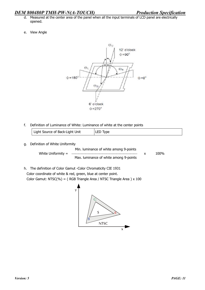e. View Angle



f. Definition of Luminance of White: Luminance of white at the center points

| Light Source of Back-Light Unit | LED Type |
|---------------------------------|----------|
|---------------------------------|----------|

g. Definition of White Uniformity

Min. luminance of white among 9-points White Uniformity =  $\frac{100\%}{200\%}$ Max. luminance of white among 9-points

h. The definition of Color Gamut -Color Chromaticity CIE 1931 Color coordinate of white & red, green, blue at center point. Color Gamut: NTSC(%) = ( RGB Triangle Area / NTSC Triangle Area ) x 100

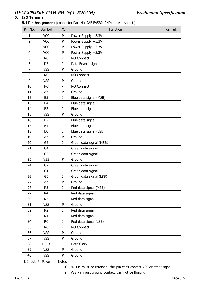### **5. I/O Terminal**

### **5.1 Pin Assignment** (connector Part No: JAE FA5B040HP1 or equivalent.)

| Pin No.        | Symbol         | I/O                      | Function                | Remark |
|----------------|----------------|--------------------------|-------------------------|--------|
| 1              | <b>VCC</b>     | P                        | Power Supply +3.3V      |        |
| $\overline{2}$ | <b>VCC</b>     | P                        | Power Supply +3.3V      |        |
| 3              | <b>VCC</b>     | P                        | Power Supply +3.3V      |        |
| $\overline{4}$ | <b>VCC</b>     | P                        | Power Supply +3.3V      |        |
| 5              | <b>NC</b>      | $\overline{\phantom{a}}$ | NO Connect              |        |
| 6              | <b>DE</b>      | $\rm I$                  | Data Enable signal      |        |
| $\overline{7}$ | <b>VSS</b>     | P                        | Ground                  |        |
| 8              | <b>NC</b>      | $\overline{\phantom{a}}$ | NO Connect              |        |
| 9              | <b>VSS</b>     | P                        | Ground                  |        |
| 10             | NC             | $\overline{\phantom{a}}$ | NO Connect              |        |
| 11             | <b>VSS</b>     | P                        | Ground                  |        |
| 12             | <b>B5</b>      | I                        | Blue data signal (MSB)  |        |
| 13             | B <sub>4</sub> | $\mathbf I$              | Blue data signal        |        |
| 14             | B <sub>3</sub> | I                        | Blue data signal        |        |
| 15             | <b>VSS</b>     | P                        | Ground                  |        |
| 16             | <b>B2</b>      | I                        | Blue data signal        |        |
| 17             | <b>B1</b>      | $\rm I$                  | Blue data signal        |        |
| 18             | B <sub>0</sub> | $\rm I$                  | Blue data signal (LSB)  |        |
| 19             | <b>VSS</b>     | P                        | Ground                  |        |
| 20             | G <sub>5</sub> | $\mathbf I$              | Green data signal (MSB) |        |
| 21             | G <sub>4</sub> | $\rm I$                  | Green data signal       |        |
| 22             | G <sub>3</sub> | I                        | Green data signal       |        |
| 23             | <b>VSS</b>     | ${\sf P}$                | Ground                  |        |
| 24             | G <sub>2</sub> | $\mathbf I$              | Green data signal       |        |
| 25             | G <sub>1</sub> | $\rm I$                  | Green data signal       |        |
| 26             | G <sub>0</sub> | I                        | Green data signal (LSB) |        |
| 27             | <b>VSS</b>     | ${\sf P}$                | Ground                  |        |
| 28             | R <sub>5</sub> | $\rm I$                  | Red data signal (MSB)   |        |
| 29             | R <sub>4</sub> | $\mathbf I$              | Red data signal         |        |
| 30             | R <sub>3</sub> | $\rm I$                  | Red data signal         |        |
| 31             | <b>VSS</b>     | ${\sf P}$                | Ground                  |        |
| 32             | R <sub>2</sub> | $\rm I$                  | Red data signal         |        |
| 33             | R1             | I                        | Red data signal         |        |
| 34             | R <sub>0</sub> | I                        | Red data signal (LSB)   |        |
| 35             | NC             | ÷,                       | NO Connect              |        |
| 36             | <b>VSS</b>     | P                        | Ground                  |        |
| 37             | <b>VSS</b>     | P                        | Ground                  |        |
| 38             | <b>DCLK</b>    | I                        | Data Clock              |        |
| 39             | <b>VSS</b>     | P                        | Ground                  |        |
| 40             | <b>VSS</b>     | ${\sf P}$                | Ground                  |        |

I: Input, P: Power Notes:

1) NC Pin must be retained; this pin can't contact VSS or other signal.

2) VSS Pin must ground contact, can not be floating.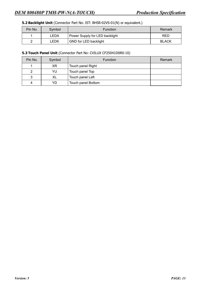### **5.2 Backlight Unit** (Connector Part No: JST: BHSR-02VS-01(N) or equivalent.)

| Pin No. | Symbol | <b>Function</b>                | Remark       |
|---------|--------|--------------------------------|--------------|
|         | LEDA   | Power Supply for LED backlight | <b>RED</b>   |
| ◠       | LEDK   | GND for LED backlight          | <b>BLACK</b> |

### **5.3 Touch Panel Unit** (Connector Part No: CVILUX CF25041D0R0-10)

| Pin No. | Symbol | <b>Function</b>    | Remark |
|---------|--------|--------------------|--------|
|         | XR     | Touch panel Right  |        |
| 2       | YU     | Touch panel Top    |        |
| 3       | XL     | Touch panel Left   |        |
| 4       | YD     | Touch panel Bottom |        |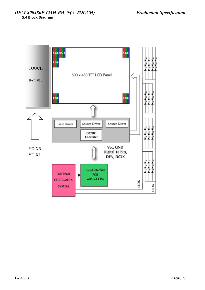**5.4 Block Diagram** 

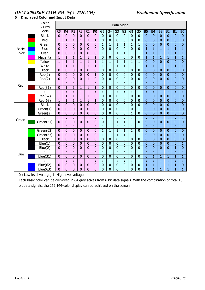|              | Color<br>& Gray |                | Data Signal    |                |                |                |                |                |                |                |                |                |                |                |                |                |                |                |                  |
|--------------|-----------------|----------------|----------------|----------------|----------------|----------------|----------------|----------------|----------------|----------------|----------------|----------------|----------------|----------------|----------------|----------------|----------------|----------------|------------------|
|              | Scale           | R <sub>5</sub> | R <sub>4</sub> | R <sub>3</sub> | R <sub>2</sub> | R1             | R <sub>0</sub> | G <sub>5</sub> | G <sub>4</sub> | $\overline{G}$ | G <sub>2</sub> | G1             | G <sub>0</sub> | <b>B5</b>      | B <sub>4</sub> | B <sub>3</sub> | B <sub>2</sub> | B1             | <b>B0</b>        |
|              | <b>Black</b>    | $\mathbf{0}$   | $\mathbf{0}$   | $\bf{0}$       | $\mathbf{0}$   | $\mathbf 0$    | $\mathbf{0}$   | $\bf{0}$       | $\mathbf 0$    | $\bf{0}$       | $\mathbf{0}$   | $\pmb{0}$      | $\mathbf 0$    | $\mathbf 0$    | $\mathbf{0}$   | $\mathbf{0}$   | $\mathbf{0}$   | $\mathbf{0}$   | $\boldsymbol{0}$ |
|              | Red             | $\mathbf{1}$   | $\overline{1}$ | $\mathbf{1}$   | $\mathbf{1}$   | $\mathbf{1}$   | $\mathbf{1}$   | $\mathbf 0$    | $\mathbf 0$    | $\overline{0}$ | $\mathbf 0$    | $\overline{0}$ | $\mathbf 0$    | $\overline{0}$ | $\mathbf 0$    | $\overline{0}$ | $\mathbf{0}$   | $\mathbf{0}$   | $\mathbf 0$      |
|              | Green           | $\overline{0}$ | $\overline{0}$ | $\mathbf{0}$   | $\bf{0}$       | $\overline{0}$ | $\overline{0}$ | $\overline{1}$ | $\mathbf{1}$   | $\overline{1}$ | $\mathbf{1}$   | $\mathbf{1}$   | $\mathbf{1}$   | $\overline{0}$ | $\mathbf 0$    | $\overline{0}$ | $\overline{0}$ | $\mathbf 0$    | $\overline{0}$   |
| <b>Basic</b> | Blue            | $\overline{0}$ | $\overline{0}$ | $\mathbf{0}$   | $\mathbf 0$    | $\mathbf 0$    | $\overline{0}$ | $\mathbf 0$    | $\overline{0}$ | $\overline{0}$ | $\mathbf 0$    | $\overline{0}$ | $\mathbf 0$    | $\overline{1}$ | $\overline{1}$ | $\overline{1}$ | $\overline{1}$ | $\mathbf{1}$   | $\mathbf{1}$     |
| Color        | Cyan            | $\overline{0}$ | $\overline{0}$ | $\overline{0}$ | $\overline{0}$ | $\overline{0}$ | $\overline{0}$ | $\overline{1}$ | $\overline{1}$ | $\overline{1}$ | $\overline{1}$ | $\overline{1}$ | $\overline{1}$ | $\overline{1}$ | $\overline{1}$ | $\overline{1}$ | $\overline{1}$ | $\overline{1}$ | $\overline{1}$   |
|              | Magenta         | $\mathbf{1}$   | $\mathbf{1}$   | $\mathbf{1}$   | $\mathbf{1}$   | $\mathbf{1}$   | $\mathbf{1}$   | $\mathbf{0}$   | $\overline{0}$ | $\overline{0}$ | $\overline{0}$ | $\overline{0}$ | $\overline{0}$ | $\overline{1}$ | $\mathbf{1}$   | $\mathbf{1}$   | $\mathbf{1}$   | $\mathbf{1}$   | $\mathbf{1}$     |
|              | Yellow          | $\overline{1}$ | $\overline{1}$ | $\overline{1}$ | $\mathbf{1}$   | $\overline{1}$ | $\mathbf{1}$   | $\overline{1}$ | $\mathbf{1}$   | $\overline{1}$ | $\mathbf{1}$   | $\mathbf{1}$   | $\overline{1}$ | $\overline{0}$ | $\mathbf{0}$   | $\overline{0}$ | $\overline{0}$ | $\overline{0}$ | $\overline{0}$   |
|              | White           | $\mathbf{1}$   | $\overline{1}$ | $\mathbf{1}$   | $\mathbf{1}$   | $\mathbf{1}$   | $\overline{1}$ | $\mathbf{1}$   | $\mathbf{1}$   | $\mathbf{1}$   | $\mathbf{1}$   | $\mathbf{1}$   | $\mathbf{1}$   | $\overline{1}$ | $\overline{1}$ | $\overline{1}$ | $\mathbf{1}$   | $\mathbf{1}$   | $\mathbf{1}$     |
|              | <b>Black</b>    | $\overline{0}$ | $\mathbf 0$    | $\overline{0}$ | $\overline{0}$ | $\mathbf 0$    | $\mathbf 0$    | $\mathbf 0$    | $\overline{0}$ | $\overline{0}$ | $\overline{0}$ | $\overline{0}$ | $\overline{0}$ | $\overline{0}$ | $\mathbf{0}$   | $\overline{0}$ | $\overline{0}$ | $\overline{0}$ | $\overline{0}$   |
|              | Red(1)          | $\overline{0}$ | $\bf{0}$       | $\mathbf{0}$   | $\mathbf 0$    | $\mathbf 0$    | $\mathbf{1}$   | $\mathbf{0}$   | $\overline{0}$ | $\mathbf 0$    | $\overline{0}$ | $\overline{0}$ | $\mathbf 0$    | $\overline{0}$ | $\mathbf 0$    | $\overline{0}$ | $\mathbf 0$    | $\mathbf 0$    | $\mathbf 0$      |
|              | Red(2)          | $\overline{0}$ | $\overline{0}$ | $\mathbf{0}$   | $\mathbf{0}$   | $\mathbf{1}$   | $\overline{0}$ | $\mathbf 0$    | $\overline{0}$ | $\overline{0}$ | $\mathbf 0$    | $\overline{0}$ | $\overline{0}$ | $\overline{0}$ | $\mathbf 0$    | $\overline{0}$ | $\overline{0}$ | $\overline{0}$ | $\overline{0}$   |
|              |                 | t              | t              |                | t              | ł,             | t              | ł,             | t              | t              |                | Í,             | ř,             | ř,             | t              | t              | t              |                | ł,               |
| Red          | Red(31)         | $\overline{0}$ | $\overline{1}$ | $\overline{1}$ | $\mathbf{1}$   | $\overline{1}$ | $\overline{1}$ | $\mathbf 0$    | $\overline{0}$ | $\overline{0}$ | $\overline{0}$ | $\overline{0}$ | $\overline{0}$ | $\overline{0}$ | $\overline{0}$ | $\overline{0}$ | $\overline{0}$ | $\overline{0}$ | $\overline{0}$   |
|              |                 | t              | t              | t              | t              | t,             | t              | ł              | t              | t              | t              | t,             | t              | t              | t              | t              | t              |                | ł,               |
|              | Red(62)         | $\overline{1}$ | $\overline{1}$ | $\mathbf{1}$   | $\mathbf{1}$   | $\overline{1}$ | $\mathbf 0$    | $\mathbf{0}$   | $\overline{0}$ | $\mathbf 0$    | $\mathbf 0$    | $\mathbf 0$    | $\mathbf 0$    | $\mathbf{0}$   | $\mathbf 0$    | $\overline{0}$ | $\overline{0}$ | $\overline{0}$ | $\overline{0}$   |
|              | Red(63)         | 1              | $\mathbf{1}$   | $\mathbf{1}$   | $\mathbf{1}$   | $\mathbf{1}$   | $\mathbf{1}$   | $\mathbf 0$    | $\mathbf 0$    | $\mathbf 0$    | $\mathbf{0}$   | $\mathbf 0$    | $\mathbf 0$    | $\mathbf 0$    | $\mathbf{0}$   | $\mathbf 0$    | $\mathbf 0$    | $\mathbf{0}$   | $\boldsymbol{0}$ |
|              | <b>Black</b>    | 0              | $\overline{0}$ | $\overline{0}$ | $\overline{0}$ | $\mathbf 0$    | $\overline{0}$ | $\mathbf 0$    | $\overline{0}$ | $\overline{0}$ | $\overline{0}$ | $\overline{0}$ | $\overline{0}$ | $\overline{0}$ | $\overline{0}$ | $\overline{0}$ | $\overline{0}$ | $\overline{0}$ | $\overline{0}$   |
|              | Green(1)        | $\overline{0}$ | $\overline{0}$ | $\mathbf{0}$   | $\bf{0}$       | $\mathbf 0$    | $\overline{0}$ | $\mathbf 0$    | $\overline{0}$ | $\overline{0}$ | $\mathbf 0$    | $\overline{0}$ | $\mathbf{1}$   | $\overline{0}$ | $\mathbf 0$    | $\overline{0}$ | $\overline{0}$ | $\overline{0}$ | $\overline{0}$   |
|              | Green(2)        | $\overline{0}$ | $\overline{0}$ | $\mathbf{0}$   | $\overline{0}$ | $\overline{0}$ | $\overline{0}$ | $\mathbf 0$    | $\overline{0}$ | $\overline{0}$ | $\overline{0}$ | $\mathbf{1}$   | $\overline{0}$ | $\overline{0}$ | $\overline{0}$ | $\overline{0}$ | $\overline{0}$ | $\overline{0}$ | $\overline{0}$   |
| Green        |                 | ċ              | ł              |                | ł              | ł,             | ł,             | ł,             | Ì              | Ì              |                | ř,             | ř,             | ř,             | ř,             | Ì              | ċ              |                | ł,               |
|              | Green(31)       | 0              | $\overline{0}$ | $\overline{0}$ | $\overline{0}$ | $\overline{0}$ | $\mathbf 0$    | $\mathbf 0$    | $\mathbf{1}$   | $\overline{1}$ | $\mathbf{1}$   | $\mathbf{1}$   | $\overline{0}$ | $\overline{0}$ | $\mathbf 0$    | $\overline{0}$ | $\overline{0}$ | $\overline{0}$ | $\overline{0}$   |
|              |                 | ł,             | t              | t,             | ł,             | ł,             | ÷              | t              | t              | t              | t              | t,             | t,             | t              | t              | t              | t              | ÷              | ł,               |
|              | Green(62)       | $\overline{0}$ | $\mathbf 0$    | $\mathbf 0$    | $\mathbf 0$    | $\mathbf 0$    | $\overline{0}$ | $\mathbf{1}$   | $\mathbf{1}$   | $\overline{1}$ | $\overline{1}$ | $\mathbf{1}$   | $\overline{0}$ | $\overline{0}$ | $\mathbf 0$    | $\overline{0}$ | $\mathbf{0}$   | $\overline{0}$ | $\overline{0}$   |
|              | Green(63)       | $\mathbf 0$    | $\overline{0}$ | $\overline{0}$ | $\overline{0}$ | $\overline{0}$ | $\bf{0}$       | $\mathbf{1}$   | $\mathbf{1}$   | $\mathbf{1}$   | $\mathbf{1}$   | $\mathbf{1}$   | $\mathbf{1}$   | $\overline{0}$ | $\mathbf 0$    | $\overline{0}$ | $\overline{0}$ | $\overline{0}$ | $\overline{0}$   |
|              | <b>Black</b>    | $\mathbf 0$    | $\mathbf 0$    | $\mathbf{0}$   | $\mathbf 0$    | $\mathbf 0$    | $\mathbf 0$    | $\mathbf 0$    | $\mathbf 0$    | $\mathbf 0$    | $\mathbf 0$    | $\overline{0}$ | $\mathbf 0$    | $\mathbf 0$    | $\mathbf{0}$   | $\overline{0}$ | $\mathbf{0}$   | $\mathbf 0$    | $\mathbf 0$      |
|              | Blue(1)         | $\overline{0}$ | $\overline{0}$ | $\overline{0}$ | $\overline{0}$ | $\overline{0}$ | $\mathbf 0$    | $\mathbf 0$    | $\overline{0}$ | $\overline{0}$ | $\overline{0}$ | $\overline{0}$ | $\overline{0}$ | $\overline{0}$ | $\mathbf 0$    | $\overline{0}$ | $\overline{0}$ | $\overline{0}$ | $\mathbf{1}$     |
|              | Blue(2)         | $\overline{0}$ | $\overline{0}$ | $\mathbf 0$    | $\bf{0}$       | $\mathbf 0$    | $\mathbf 0$    | $\mathbf 0$    | $\overline{0}$ | $\overline{0}$ | $\mathbf 0$    | $\overline{0}$ | $\overline{0}$ | $\overline{0}$ | $\mathbf 0$    | $\overline{0}$ | $\overline{0}$ | $\mathbf{1}$   | $\overline{0}$   |
| Blue         |                 | ä,             | ł              |                | ł              | t              | t              | t              | Ì              | t              |                | Í              | ł,             | t              | Ì              | t              | t              |                | t,               |
|              | <b>Blue(31)</b> | $\mathbf 0$    | $\mathbf 0$    | $\mathbf 0$    | $\bf{0}$       | $\mathbf 0$    | $\mathbf 0$    | $\mathbf{0}$   | $\overline{0}$ | $\mathbf 0$    | $\mathbf 0$    | $\mathbf 0$    | $\overline{0}$ | $\overline{0}$ | $\overline{1}$ | $\overline{1}$ | $\overline{1}$ | $\overline{1}$ | $\mathbf{1}$     |
|              |                 | t              | t              | t              | ř,             | ł,             | ÷              | ÷,             | t              | t              | t              | ł,             | ł,             | t              | t              | t              | t              | t              | t,               |
|              | <b>Blue(62)</b> | $\mathbf 0$    | $\mathbf 0$    | $\mathbf{0}$   | $\mathbf{0}$   | $\mathbf{0}$   | $\mathbf 0$    | $\mathbf 0$    | $\mathbf 0$    | $\mathbf 0$    | $\mathbf 0$    | $\mathbf 0$    | $\mathbf 0$    | $\mathbf{1}$   | $\mathbf{1}$   | $\mathbf{1}$   | $\mathbf{1}$   | $\mathbf{1}$   | $\mathbf 0$      |
|              | Blue(63)        | $\overline{0}$ | $\overline{0}$ | $\overline{0}$ | 0              | $\overline{0}$ | $\overline{0}$ | $\overline{0}$ | $\overline{0}$ | $\overline{0}$ | $\overline{0}$ | $\overline{0}$ | $\overline{0}$ | $\overline{1}$ | $\overline{1}$ | $\mathbf{1}$   | $\overline{1}$ | $\overline{1}$ | $\overline{1}$   |

# **6 Displayed Color and Input Data**

0 : Low level voltage, 1 :High level voltage

Each basic color can be displayed in 64 gray scales from 6 bit data signals. With the combination of total 18 bit data signals, the 262,144-color display can be achieved on the screen.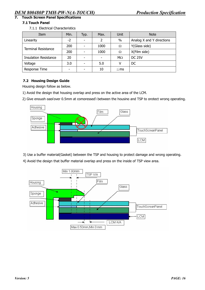## **7. Touch Screen Panel Specifications**

### **7.1 Touch Panel**

7.1.1 Electrical Characteristics

| Item                         | Min. | Typ. | Max.                     | Unit      | <b>Note</b>               |  |
|------------------------------|------|------|--------------------------|-----------|---------------------------|--|
| Linearity                    | $-2$ |      | $\overline{\phantom{a}}$ | $\%$      | Analog X and Y directions |  |
| <b>Terminal Resistance</b>   | 200  |      | 1000                     | Ω         | Y(Glass side)             |  |
|                              | 200  |      | 1000                     | Ω         | X(Film side)              |  |
| <b>Insulation Resistance</b> | 20   |      | ٠                        | $M\Omega$ | <b>DC 25V</b>             |  |
| Voltage                      | 3.0  |      | 5.0                      |           | DC                        |  |
| Response Time                |      |      | 10                       | $\leq$ ms |                           |  |

### **7.2 Housing Design Guide**

Housing design follow as below.

- 1) Avoid the design that housing overlap and press on the active area of the LCM.
- 2) Give enough gap(over 0.5mm at compressed) between the housing and TSP to protect wrong operating.



3) Use a buffer material(Gasket) between the TSP and housing to protect damage and wrong operating.

4) Avoid the design that buffer material overlap and press on the inside of TSP view area.

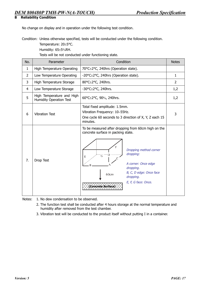**8 Reliability Condition** 

No change on display and in operation under the following test condition.

Condition: Unless otherwise specified, tests will be conducted under the following condition.

Temperature: 20±5°C.

Humidity: 65±5%RH.

Tests will be not conducted under functioning state.

| No.            | Parameter                                                   | Condition                                                                                                                                                                                                                                                                       | <b>Notes</b>   |
|----------------|-------------------------------------------------------------|---------------------------------------------------------------------------------------------------------------------------------------------------------------------------------------------------------------------------------------------------------------------------------|----------------|
| 1              | High Temperature Operating                                  | 70°C±2°C, 240hrs (Operation state).                                                                                                                                                                                                                                             |                |
| $\overline{2}$ | Low Temperature Operating                                   | -20°C±2°C, 240hrs (Operation state).                                                                                                                                                                                                                                            | $\mathbf{1}$   |
| 3              | High Temperature Storage                                    | 80°C±2°C, 240hrs.                                                                                                                                                                                                                                                               | $\overline{2}$ |
| 4              | Low Temperature Storage                                     | -30°C±2°C, 240hrs.                                                                                                                                                                                                                                                              | 1,2            |
| 5              | High Temperature and High<br><b>Humidity Operation Test</b> | 60°C±2°C, 90%, 240hrs.                                                                                                                                                                                                                                                          | 1,2            |
| 6              | <b>Vibration Test</b>                                       | Total fixed amplitude: 1.5mm.<br>Vibration Frequency: 10~55Hz.<br>One cycle 60 seconds to 3 direction of X, Y, Z each 15<br>minutes.                                                                                                                                            | 3              |
| 7.             | Drop Test                                                   | To be measured after dropping from 60cm high on the<br>concrete surface in packing state.<br>E<br>Dropping method corner<br>dropping:<br>G.<br>Е<br>A corner: Once edge<br>dropping.<br>B, C, D edge: Once face<br>60cm<br>dropping.<br>E, F, G face: Once.<br>Concrete Surface |                |

Notes: 1. No dew condensation to be observed.

- 2. The function test shall be conducted after 4 hours storage at the normal temperature and humidity after removed from the test chamber.
- 3. Vibration test will be conducted to the product itself without putting I in a container.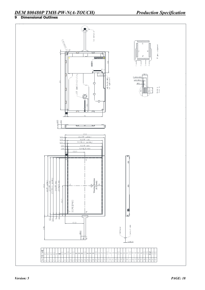### *DEM 800480P TMH-PW-N(A-TOUCH) Production Specification* **9 Dimensional Outlines**

#### $\mathbb{Z}$ J See detail  $\sqrt{\frac{2}{3}}$  $\frac{10}{2}$ TP pins assignment **NATION** M †⊕ **Tilli** yz (58) 地名美国 h  $\sqrt{214}$  $5 ± 0.$ BHSR-02VS-1  $JAE$   $FA5B040HP1<sup>-/-</sup>$ <br>(or equivalent)  $P1.0*3=3:0$  $W = 0.5 \pm 0.1$ 155  $1\pm 0.1$ Detail A<br>Scale 31 ∱<br>Mid  $151$ ≨ា≧ Π  $Q<sub>6</sub>$  $\frac{1125}{9.65}$  $\equiv$  $\overline{\phantom{a}}$  $\overline{a}$ Ó 109.4 <u>106.5(TP outline)</u><br>96.5(TP V.A.)  $\frac{0.75}{5.75}$ <br>6.55 94.5(Bezel opening)  $7.25$ 93.5(TP A.A.) 7.98 91.44(LCD A.A.) ┡  $(53.7)$  $\frac{1}{\sqrt{2}}$ 166(TP outline)<br>157.5(TP V.A.)<br>155.5(Bezel opening) irection 152.4(LCD AA) 154.5(TP A.A.) (6 o'clock) 166.6  $(83.7)$ 300\*RGB\*480  $\frac{45}{5.95}$   $\frac{1}{6}$  $(51.5)$ Contact side  $65 + 1$ -Stiffener  $10:10.5$ E E  $0.3 + 0.05$ **MENTAL BIN WANE** 988998888888 gls ାଝା  $|\widetilde{\mathbb{S}}|\widetilde{\mathbb{S}}$ SS ISS  $\Xi$ 비정 l y2 읺 의의의 ਬੁ  $\geq$ ecadadan ang ang ang ang ang  $\overline{\mathbb{R}}$  $\sqrt{\frac{2}{n}}$ اقِ لعاما ماصا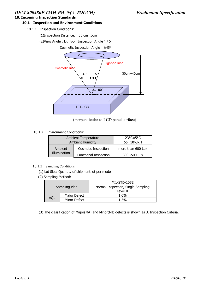### **10.1 Inspection and Environment Conditions**

10.1.1 Inspection Conditions:

(1)Inspection Distance: 35 cm±5cm

(2)View Angle : Light-on Inspection Angle︰±5°

Cosmetic Inspection Angle︰±45°



( perpendicular to LCD panel surface)

10.1.2 Environment Conditions:

|              | Ambient Temperature          | $23^{\circ}$ C $\pm$ 5°C |
|--------------|------------------------------|--------------------------|
|              | <b>Ambient Humidity</b>      | 55±10%RH                 |
| Ambient      | <b>Cosmetic Inspection</b>   | more than 600 Lux        |
| Illumination | <b>Functional Inspection</b> | 300~500 Lux              |

#### 10.1.3 Sampling Conditions:

- (1) Lot Size: Quantity of shipment lot per model
- (2) Sampling Method:

|     |               | MIL-STD-105E                       |  |  |  |  |
|-----|---------------|------------------------------------|--|--|--|--|
|     | Sampling Plan | Normal Inspection, Single Sampling |  |  |  |  |
|     |               | Level II                           |  |  |  |  |
|     | Major Defect  | 1.0%                               |  |  |  |  |
| aql | Minor Defect  | 1.5%                               |  |  |  |  |

(3) The classification of Major(MA) and Minor(MI) defects is shown as 3. Inspection Criteria.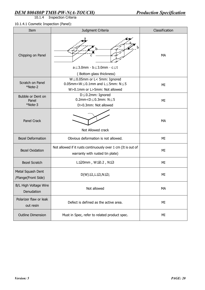10.1.4Inspection Criteria

10.1.4.1 Cosmetic Inspection (Panel):

| Item                                     | Judgment Criteria                                                                                                                                                  | Classification |
|------------------------------------------|--------------------------------------------------------------------------------------------------------------------------------------------------------------------|----------------|
| Chipping on Panel                        | $a \leq 3.0$ mm $\cdot$ b $\leq 3.0$ mm $\cdot$ c $\leq$ t<br>(Bottom glass thickness)                                                                             | MA             |
| Scratch on Panel<br>*Note-2              | $W \leq 0.05$ mm or L< 5mm: Ignored<br>$0.05$ mm <w<math>\leq0.1mm and L<math>\leq</math>5mm: N<math>\leq</math>5<br/>W&gt;0.1mm or L&gt;5mm: Not allowed</w<math> | MI             |
| Bubble or Dent on<br>Panel<br>*Note-3    | D≤0.2mm: Ignored<br>0.2mm< $D$ ≤0.3mm: N≤5<br>D>0.3mm: Not allowed                                                                                                 | MI             |
| Panel Crack                              | Not Allowed crack                                                                                                                                                  | <b>MA</b>      |
| <b>Bezel Deformation</b>                 | Obvious deformation is not allowed.                                                                                                                                | MI             |
| <b>Bezel Oxidation</b>                   | Not allowed if it rusts continuously over 1 cm (It is out of<br>warranty with rusted tin plate)                                                                    | MI             |
| <b>Bezel Scratch</b>                     | L≦20mm, W≦0.2, N≤3                                                                                                                                                 | MI             |
| Metal Squash Dent<br>/Flange(Front Side) | D(W) ≤1, L ≤3, N ≤3;                                                                                                                                               | MI             |
| B/L High Voltage Wire<br>Denudation      | Not allowed                                                                                                                                                        | MA             |
| Polarizer flaw or leak<br>out resin      | Defect is defined as the active area.                                                                                                                              | MI             |
| <b>Outline Dimension</b>                 | Must in Spec, refer to related product spec.                                                                                                                       | ΜI             |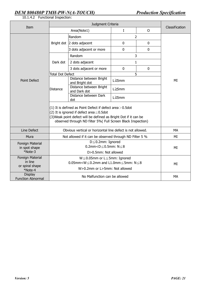10.1.4.2 Functional Inspection:

| Item                                                      | Judgment Criteria                                                                                                                                                                                                                                  |                                           |             |                | Classification |
|-----------------------------------------------------------|----------------------------------------------------------------------------------------------------------------------------------------------------------------------------------------------------------------------------------------------------|-------------------------------------------|-------------|----------------|----------------|
|                                                           | Area(Note1)                                                                                                                                                                                                                                        |                                           | $\rm I$     | $\overline{O}$ |                |
| <b>Point Defect</b>                                       |                                                                                                                                                                                                                                                    | Random                                    | 2           |                |                |
|                                                           |                                                                                                                                                                                                                                                    | Bright dot 2 dots adjacent                | $\mathbf 0$ | $\mathbf 0$    |                |
|                                                           |                                                                                                                                                                                                                                                    | 3 dots adjacent or more                   | $\mathbf 0$ | $\mathbf 0$    |                |
|                                                           | Dark dot                                                                                                                                                                                                                                           | Random                                    | 3           |                |                |
|                                                           |                                                                                                                                                                                                                                                    | 2 dots adjacent                           | 1           |                |                |
|                                                           |                                                                                                                                                                                                                                                    | 3 dots adjacent or more                   | $\mathbf 0$ | $\mathbf 0$    |                |
|                                                           | 5<br><b>Total Dot Defect</b>                                                                                                                                                                                                                       |                                           |             |                |                |
|                                                           | <b>Distance</b>                                                                                                                                                                                                                                    | Distance between Bright<br>and Bright dot | L≧5mm       |                | MI             |
|                                                           |                                                                                                                                                                                                                                                    | Distance between Bright<br>and Dark dot   | L≧5mm       |                |                |
|                                                           |                                                                                                                                                                                                                                                    | Distance between Dark<br>dot              | L≧5mm       |                |                |
|                                                           | (1) It is defined as Point Defect if defect area $>$ 0.5dot<br>(2) It is ignored if defect area $\leq 0.5$ dot<br>(3) Weak point defect will be defined as Bright Dot if it can be<br>observed through ND filter 5%( Full Screen Black Inspection) |                                           |             |                |                |
| Line Defect                                               | Obvious vertical or horizontal line defect is not allowed.                                                                                                                                                                                         |                                           |             |                | MA             |
| Mura                                                      | Not allowed if it can be observed through ND Filter 5 %                                                                                                                                                                                            |                                           |             |                | МI             |
| Foreign Material<br>in spot shape<br>*Note-3              | $D \leq 0.2$ mm: Ignored<br>0.2mm< $D \leq 0.5$ mm: $N \leq 8$<br>D>0.5mm: Not allowed                                                                                                                                                             |                                           |             |                | MI             |
| Foreign Material<br>in line<br>or spiral shape<br>*Note-4 | $W \leq 0.05$ mm or L $\leq$ 5mm: Ignored<br>$0.05$ mm <w<math>\leq0.2mm and L1.0mm<math>\leq</math>5mm: N<math>\leq</math>8<br/>W&gt;0.2mm or L&gt;5mm: Not allowed</w<math>                                                                      |                                           |             |                | MI             |
| <b>Display</b><br><b>Function Abnormal</b>                | No Malfunction can be allowed                                                                                                                                                                                                                      |                                           |             |                | <b>MA</b>      |